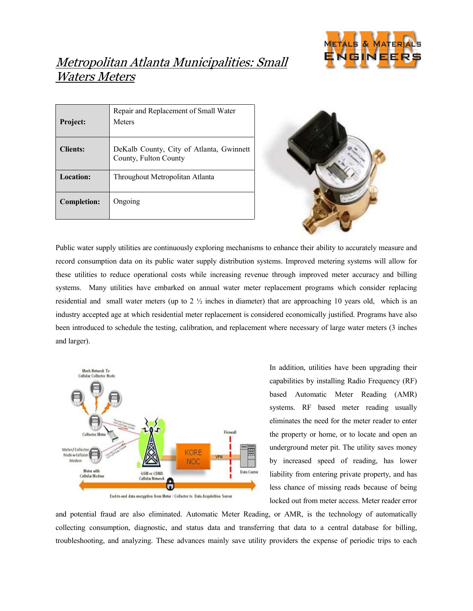

## Metropolitan Atlanta Municipalities: Small Waters Meters

| <b>Project:</b>    | Repair and Replacement of Small Water<br>Meters                   |
|--------------------|-------------------------------------------------------------------|
| <b>Clients:</b>    | DeKalb County, City of Atlanta, Gwinnett<br>County, Fulton County |
| Location:          | Throughout Metropolitan Atlanta                                   |
| <b>Completion:</b> | Ongoing                                                           |



Public water supply utilities are continuously exploring mechanisms to enhance their ability to accurately measure and record consumption data on its public water supply distribution systems. Improved metering systems will allow for these utilities to reduce operational costs while increasing revenue through improved meter accuracy and billing systems. Many utilities have embarked on annual water meter replacement programs which consider replacing residential and small water meters (up to  $2 \frac{1}{2}$  inches in diameter) that are approaching 10 years old, which is an industry accepted age at which residential meter replacement is considered economically justified. Programs have also been introduced to schedule the testing, calibration, and replacement where necessary of large water meters (3 inches and larger).



End-to-end data encryption from Meter / Collector to Data Acquisition Server

In addition, utilities have been upgrading their capabilities by installing Radio Frequency (RF) based Automatic Meter Reading (AMR) systems. RF based meter reading usually eliminates the need for the meter reader to enter the property or home, or to locate and open an underground meter pit. The utility saves money by increased speed of reading, has lower liability from entering private property, and has less chance of missing reads because of being locked out from meter access. Meter reader error

and potential fraud are also eliminated. Automatic Meter Reading, or AMR, is the technology of automatically collecting consumption, diagnostic, and status data and transferring that data to a central database for billing, troubleshooting, and analyzing. These advances mainly save utility providers the expense of periodic trips to each